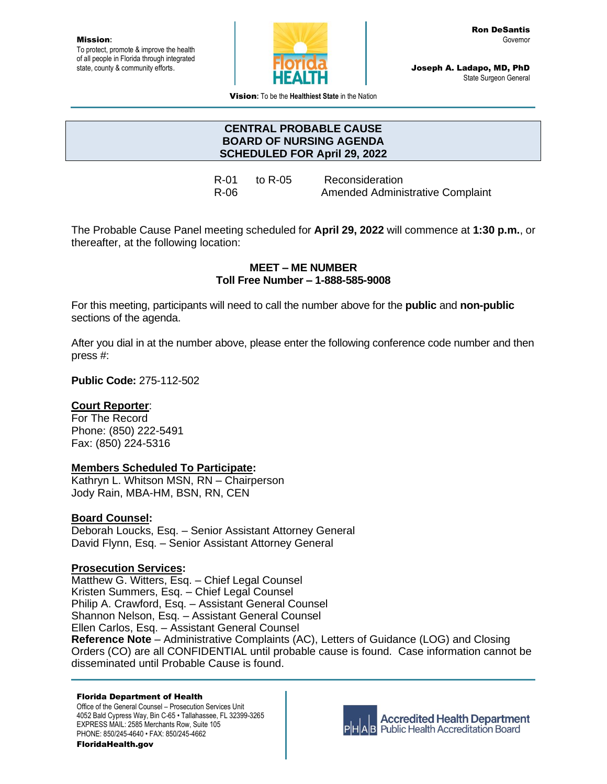Mission**:** To protect, promote & improve the health of all people in Florida through integrated state, county & community efforts.



Joseph A. Ladapo, MD, PhD State Surgeon General

Vision**:** To be the **Healthiest State** in the Nation

## **CENTRAL PROBABLE CAUSE BOARD OF NURSING AGENDA SCHEDULED FOR April 29, 2022**

R-01 to R-05 Reconsideration R-06 **Amended Administrative Complaint** 

The Probable Cause Panel meeting scheduled for **April 29, 2022** will commence at **1:30 p.m.**, or thereafter, at the following location:

### **MEET – ME NUMBER Toll Free Number – 1-888-585-9008**

For this meeting, participants will need to call the number above for the **public** and **non-public** sections of the agenda.

After you dial in at the number above, please enter the following conference code number and then press #:

**Public Code:** 275-112-502

# **Court Reporter**:

For The Record Phone: (850) 222-5491 Fax: (850) 224-5316

## **Members Scheduled To Participate:**

Kathryn L. Whitson MSN, RN – Chairperson Jody Rain, MBA-HM, BSN, RN, CEN

# **Board Counsel:**

Deborah Loucks, Esq. – Senior Assistant Attorney General David Flynn, Esq. – Senior Assistant Attorney General

## **Prosecution Services:**

Matthew G. Witters, Esq. – Chief Legal Counsel Kristen Summers, Esq. – Chief Legal Counsel Philip A. Crawford, Esq. – Assistant General Counsel Shannon Nelson, Esq. – Assistant General Counsel Ellen Carlos, Esq. – Assistant General Counsel **Reference Note** – Administrative Complaints (AC), Letters of Guidance (LOG) and Closing Orders (CO) are all CONFIDENTIAL until probable cause is found. Case information cannot be disseminated until Probable Cause is found.

#### Florida Department of Health

Office of the General Counsel – Prosecution Services Unit 4052 Bald Cypress Way, Bin C-65 • Tallahassee, FL 32399-3265 EXPRESS MAIL: 2585 Merchants Row, Suite 105 PHONE: 850/245-4640 • FAX: 850/245-4662